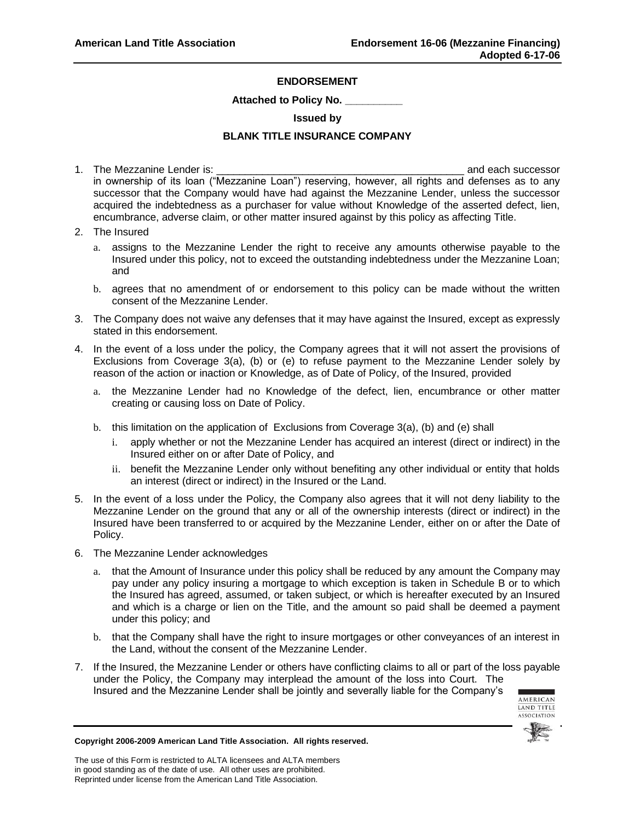## **ENDORSEMENT**

**Attached to Policy No. \_\_\_\_\_\_\_\_\_\_**

## **Issued by**

## **BLANK TITLE INSURANCE COMPANY**

- 1. The Mezzanine Lender is:  $\blacksquare$ in ownership of its loan ("Mezzanine Loan") reserving, however, all rights and defenses as to any successor that the Company would have had against the Mezzanine Lender, unless the successor acquired the indebtedness as a purchaser for value without Knowledge of the asserted defect, lien, encumbrance, adverse claim, or other matter insured against by this policy as affecting Title.
- 2. The Insured
	- a. assigns to the Mezzanine Lender the right to receive any amounts otherwise payable to the Insured under this policy, not to exceed the outstanding indebtedness under the Mezzanine Loan; and
	- b. agrees that no amendment of or endorsement to this policy can be made without the written consent of the Mezzanine Lender.
- 3. The Company does not waive any defenses that it may have against the Insured, except as expressly stated in this endorsement.
- 4. In the event of a loss under the policy, the Company agrees that it will not assert the provisions of Exclusions from Coverage 3(a), (b) or (e) to refuse payment to the Mezzanine Lender solely by reason of the action or inaction or Knowledge, as of Date of Policy, of the Insured, provided
	- a. the Mezzanine Lender had no Knowledge of the defect, lien, encumbrance or other matter creating or causing loss on Date of Policy.
	- b. this limitation on the application of Exclusions from Coverage 3(a), (b) and (e) shall
		- i. apply whether or not the Mezzanine Lender has acquired an interest (direct or indirect) in the Insured either on or after Date of Policy, and
		- ii. benefit the Mezzanine Lender only without benefiting any other individual or entity that holds an interest (direct or indirect) in the Insured or the Land.
- 5. In the event of a loss under the Policy, the Company also agrees that it will not deny liability to the Mezzanine Lender on the ground that any or all of the ownership interests (direct or indirect) in the Insured have been transferred to or acquired by the Mezzanine Lender, either on or after the Date of Policy.
- 6. The Mezzanine Lender acknowledges
	- a. that the Amount of Insurance under this policy shall be reduced by any amount the Company may pay under any policy insuring a mortgage to which exception is taken in Schedule B or to which the Insured has agreed, assumed, or taken subject, or which is hereafter executed by an Insured and which is a charge or lien on the Title, and the amount so paid shall be deemed a payment under this policy; and
	- b. that the Company shall have the right to insure mortgages or other conveyances of an interest in the Land, without the consent of the Mezzanine Lender.
- 7. If the Insured, the Mezzanine Lender or others have conflicting claims to all or part of the loss payable under the Policy, the Company may interplead the amount of the loss into Court. The Insured and the Mezzanine Lender shall be jointly and severally liable for the Company's



**Copyright 2006-2009 American Land Title Association. All rights reserved.**

The use of this Form is restricted to ALTA licensees and ALTA members in good standing as of the date of use. All other uses are prohibited. Reprinted under license from the American Land Title Association.